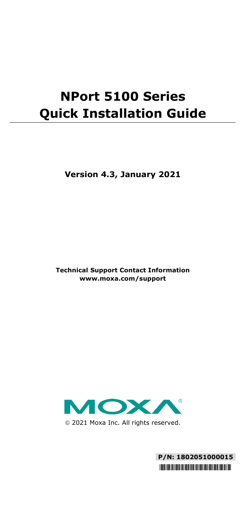# **NPort 5100 Series Quick Installation Guide**

**Version 4.3, January 2021**

**Technical Support Contact Information www.moxa.com/support**



2021 Moxa Inc. All rights reserved.

**P/N: 1802051000015** \*1802051000015\*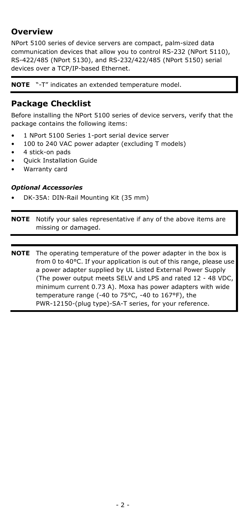## **Overview**

NPort 5100 series of device servers are compact, palm-sized data communication devices that allow you to control RS-232 (NPort 5110), RS-422/485 (NPort 5130), and RS-232/422/485 (NPort 5150) serial devices over a TCP/IP-based Ethernet.

**NOTE** "-T" indicates an extended temperature model.

### **Package Checklist**

Before installing the NPort 5100 series of device servers, verify that the package contains the following items:

- 1 NPort 5100 Series 1-port serial device server
- 100 to 240 VAC power adapter (excluding T models)
- 4 stick-on pads
- Quick Installation Guide
- Warranty card

#### *Optional Accessories*

• DK-35A: DIN-Rail Mounting Kit (35 mm)

**NOTE** Notify your sales representative if any of the above items are missing or damaged.

**NOTE** The operating temperature of the power adapter in the box is from 0 to 40°C. If your application is out of this range, please use a power adapter supplied by UL Listed External Power Supply (The power output meets SELV and LPS and rated 12 - 48 VDC, minimum current 0.73 A). Moxa has power adapters with wide temperature range (-40 to 75°C, -40 to 167°F), the PWR-12150-(plug type)-SA-T series, for your reference.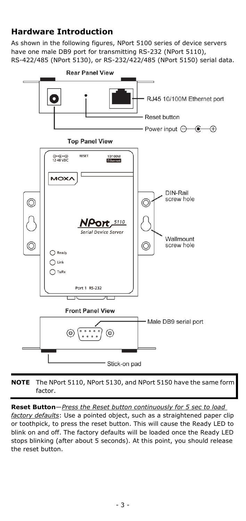## **Hardware Introduction**

As shown in the following figures, NPort 5100 series of device servers have one male DB9 port for transmitting RS-232 (NPort 5110), RS-422/485 (NPort 5130), or RS-232/422/485 (NPort 5150) serial data.



**NOTE** The NPort 5110, NPort 5130, and NPort 5150 have the same form factor.

**Reset Button**—*Press the Reset button continuously for 5 sec to load* 

*factory defaults*: Use a pointed object, such as a straightened paper clip or toothpick, to press the reset button. This will cause the Ready LED to blink on and off. The factory defaults will be loaded once the Ready LED stops blinking (after about 5 seconds). At this point, you should release the reset button.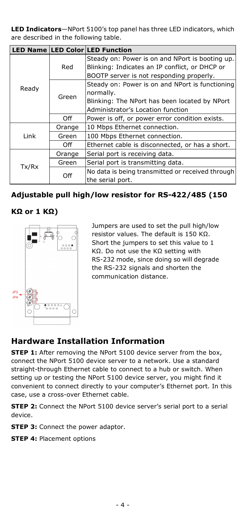**LED Indicators**—NPort 5100's top panel has three LED indicators, which are described in the following table.

|       |        | LED Name LED Color LED Function                  |  |
|-------|--------|--------------------------------------------------|--|
| Ready | Red    | Steady on: Power is on and NPort is booting up.  |  |
|       |        | Blinking: Indicates an IP conflict, or DHCP or   |  |
|       |        | BOOTP server is not responding properly.         |  |
|       | Green  | Steady on: Power is on and NPort is functioning  |  |
|       |        | normally.                                        |  |
|       |        | Blinking: The NPort has been located by NPort    |  |
|       |        | Administrator's Location function                |  |
|       | Off    | Power is off, or power error condition exists.   |  |
| Link  | Orange | 10 Mbps Ethernet connection.                     |  |
|       | Green  | 100 Mbps Ethernet connection.                    |  |
|       | Off    | Ethernet cable is disconnected, or has a short.  |  |
| Tx/Rx | Orange | Serial port is receiving data.                   |  |
|       | Green  | Serial port is transmitting data.                |  |
|       | Off    | No data is being transmitted or received through |  |
|       |        | the serial port.                                 |  |

#### **Adjustable pull high/low resistor for RS-422/485 (150**

#### **KΩ or 1 KΩ)**



Jumpers are used to set the pull high/low resistor values. The default is 150 KΩ. Short the jumpers to set this value to 1 KΩ. Do not use the KΩ setting with RS-232 mode, since doing so will degrade the RS-232 signals and shorten the communication distance.

## **Hardware Installation Information**

**STEP 1:** After removing the NPort 5100 device server from the box, connect the NPort 5100 device server to a network. Use a standard straight-through Ethernet cable to connect to a hub or switch. When setting up or testing the NPort 5100 device server, you might find it convenient to connect directly to your computer's Ethernet port. In this case, use a cross-over Ethernet cable.

**STEP 2:** Connect the NPort 5100 device server's serial port to a serial device.

**STEP 3: Connect the power adaptor.** 

**STEP 4: Placement options**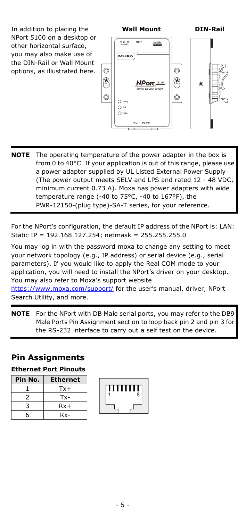In addition to placing the NPort 5100 on a desktop or other horizontal surface, you may also make use of the DIN-Rail or Wall Mount options, as illustrated here.



**NOTE** The operating temperature of the power adapter in the box is from 0 to 40°C. If your application is out of this range, please use a power adapter supplied by UL Listed External Power Supply (The power output meets SELV and LPS and rated 12 - 48 VDC, minimum current 0.73 A). Moxa has power adapters with wide temperature range (-40 to 75°C, -40 to 167°F), the PWR-12150-(plug type)-SA-T series, for your reference.

For the NPort's configuration, the default IP address of the NPort is: LAN: Static IP = 192.168.127.254; netmask = 255.255.255.0

You may log in with the password moxa to change any setting to meet your network topology (e.g., IP address) or serial device (e.g., serial parameters). If you would like to apply the Real COM mode to your application, you will need to install the NPort's driver on your desktop. You may also refer to Moxa's support website

<https://www.moxa.com/support/> for the user's manual, driver, NPort Search Utility, and more.

**NOTE** For the NPort with DB Male serial ports, you may refer to the DB9 Male Ports Pin Assignment section to loop back pin 2 and pin 3 for the RS-232 interface to carry out a self test on the device.

## **Pin Assignments**

| <b>Ethernet Port Pinouts</b> |  |  |
|------------------------------|--|--|
|                              |  |  |

| Pin No. | <b>Ethernet</b> |
|---------|-----------------|
|         | $Tx +$          |
| 2       | Tx-             |
| 3       | $Rx+$           |
| հ       | $Rx -$          |